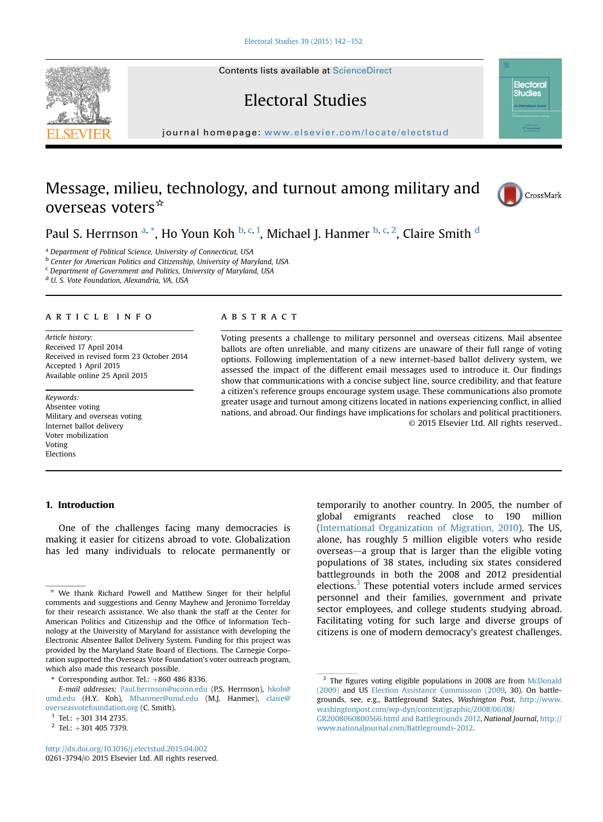Contents lists available at [ScienceDirect](www.sciencedirect.com/science/journal/02613794)

# Electoral Studies

journal homepage: [www.elsevier.com/locate/electstud](http://www.elsevier.com/locate/electstud)

# Message, milieu, technology, and turnout among military and overseas voters $*$



**Electoral Studies** 

Paul S. Herrnson <sup>a, \*</sup>, Ho Youn Koh <sup>b, c, 1</sup>, Michael J. Hanmer <sup>b, c, 2</sup>, Claire Smith <sup>d</sup>

<sup>a</sup> Department of Political Science, University of Connecticut, USA

**b** Center for American Politics and Citizenship, University of Maryland, USA

<sup>c</sup> Department of Government and Politics, University of Maryland, USA

<sup>d</sup> U. S. Vote Foundation, Alexandria, VA, USA

# article info

Article history: Received 17 April 2014 Received in revised form 23 October 2014 Accepted 1 April 2015 Available online 25 April 2015

Keywords: Absentee voting Military and overseas voting Internet ballot delivery Voter mobilization Voting Elections

### 1. Introduction

One of the challenges facing many democracies is making it easier for citizens abroad to vote. Globalization has led many individuals to relocate permanently or

<http://dx.doi.org/10.1016/j.electstud.2015.04.002> 0261-3794/© 2015 Elsevier Ltd. All rights reserved.

# **ABSTRACT**

Voting presents a challenge to military personnel and overseas citizens. Mail absentee ballots are often unreliable, and many citizens are unaware of their full range of voting options. Following implementation of a new internet-based ballot delivery system, we assessed the impact of the different email messages used to introduce it. Our findings show that communications with a concise subject line, source credibility, and that feature a citizen's reference groups encourage system usage. These communications also promote greater usage and turnout among citizens located in nations experiencing conflict, in allied nations, and abroad. Our findings have implications for scholars and political practitioners. © 2015 Elsevier Ltd. All rights reserved..

> temporarily to another country. In 2005, the number of global emigrants reached close to 190 million [\(International Organization of Migration, 2010](#page-10-0)). The US, alone, has roughly 5 million eligible voters who reside  $overseas$ —a group that is larger than the eligible voting populations of 38 states, including six states considered battlegrounds in both the 2008 and 2012 presidential elections.<sup>3</sup> These potential voters include armed services personnel and their families, government and private sector employees, and college students studying abroad. Facilitating voting for such large and diverse groups of citizens is one of modern democracy's greatest challenges.

<span id="page-0-0"></span>

<sup>\*</sup> We thank Richard Powell and Matthew Singer for their helpful comments and suggestions and Genny Mayhew and Jeronimo Torrelday for their research assistance. We also thank the staff at the Center for American Politics and Citizenship and the Office of Information Technology at the University of Maryland for assistance with developing the Electronic Absentee Ballot Delivery System. Funding for this project was provided by the Maryland State Board of Elections. The Carnegie Corporation supported the Overseas Vote Foundation's voter outreach program, which also made this research possible.

Corresponding author. Tel.:  $+860$  486 8336.

E-mail addresses: [Paul.herrnson@uconn.edu](mailto:Paul.herrnson@uconn.edu) (P.S. Herrnson), [hkoh@](mailto:hkoh@umd.edu) [umd.edu](mailto:hkoh@umd.edu) (H.Y. Koh), [Mhanmer@umd.edu](mailto:Mhanmer@umd.edu) (M.J. Hanmer), [claire@](mailto:claire@overseasvotefoundation.org) [overseasvotefoundation.org](mailto:claire@overseasvotefoundation.org) (C. Smith).

<sup>&</sup>lt;sup>1</sup> Tel.:  $+301$  314 2735.<br><sup>2</sup> Tel.:  $+301$  405 7379.

<sup>&</sup>lt;sup>3</sup> The figures voting eligible populations in 2008 are from [McDonald](#page-10-0) [\(2009\)](#page-10-0) and US [Election Assistance Commission \(2009,](#page-10-0) 30). On battlegrounds, see, e.g., Battleground States, Washington Post, [http://www.](http://www.washingtonpost.com/wp-dyn/content/graphic/2008/06/08/GR2008060800566.html%20and%20Battlegrounds%202012) [washingtonpost.com/wp-dyn/content/graphic/2008/06/08/](http://www.washingtonpost.com/wp-dyn/content/graphic/2008/06/08/GR2008060800566.html%20and%20Battlegrounds%202012)

[GR2008060800566.html and Battlegrounds 2012,](http://www.washingtonpost.com/wp-dyn/content/graphic/2008/06/08/GR2008060800566.html%20and%20Battlegrounds%202012) National Journal, [http://](http://www.nationaljournal.com/Battlegrounds-2012) [www.nationaljournal.com/Battlegrounds-2012](http://www.nationaljournal.com/Battlegrounds-2012).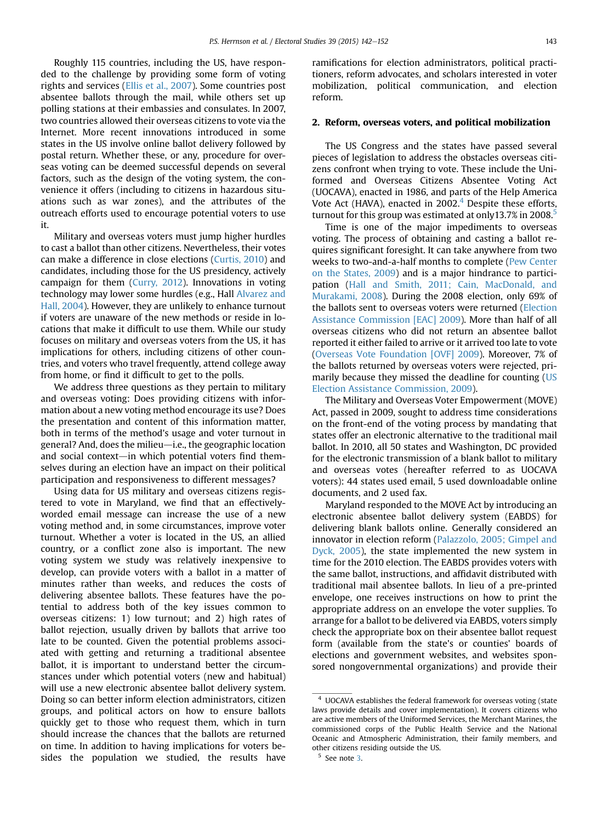Roughly 115 countries, including the US, have responded to the challenge by providing some form of voting rights and services [\(Ellis et al., 2007](#page-10-0)). Some countries post absentee ballots through the mail, while others set up polling stations at their embassies and consulates. In 2007, two countries allowed their overseas citizens to vote via the Internet. More recent innovations introduced in some states in the US involve online ballot delivery followed by postal return. Whether these, or any, procedure for overseas voting can be deemed successful depends on several factors, such as the design of the voting system, the convenience it offers (including to citizens in hazardous situations such as war zones), and the attributes of the outreach efforts used to encourage potential voters to use it.

Military and overseas voters must jump higher hurdles to cast a ballot than other citizens. Nevertheless, their votes can make a difference in close elections [\(Curtis, 2010](#page-10-0)) and candidates, including those for the US presidency, actively campaign for them ([Curry, 2012\)](#page-10-0). Innovations in voting technology may lower some hurdles (e.g., Hall [Alvarez and](#page-9-0) [Hall, 2004](#page-9-0)). However, they are unlikely to enhance turnout if voters are unaware of the new methods or reside in locations that make it difficult to use them. While our study focuses on military and overseas voters from the US, it has implications for others, including citizens of other countries, and voters who travel frequently, attend college away from home, or find it difficult to get to the polls.

We address three questions as they pertain to military and overseas voting: Does providing citizens with information about a new voting method encourage its use? Does the presentation and content of this information matter, both in terms of the method's usage and voter turnout in general? And, does the milieu $-i.e.,$  the geographic location and social context-in which potential voters find themselves during an election have an impact on their political participation and responsiveness to different messages?

Using data for US military and overseas citizens registered to vote in Maryland, we find that an effectivelyworded email message can increase the use of a new voting method and, in some circumstances, improve voter turnout. Whether a voter is located in the US, an allied country, or a conflict zone also is important. The new voting system we study was relatively inexpensive to develop, can provide voters with a ballot in a matter of minutes rather than weeks, and reduces the costs of delivering absentee ballots. These features have the potential to address both of the key issues common to overseas citizens: 1) low turnout; and 2) high rates of ballot rejection, usually driven by ballots that arrive too late to be counted. Given the potential problems associated with getting and returning a traditional absentee ballot, it is important to understand better the circumstances under which potential voters (new and habitual) will use a new electronic absentee ballot delivery system. Doing so can better inform election administrators, citizen groups, and political actors on how to ensure ballots quickly get to those who request them, which in turn should increase the chances that the ballots are returned on time. In addition to having implications for voters besides the population we studied, the results have

ramifications for election administrators, political practitioners, reform advocates, and scholars interested in voter mobilization, political communication, and election reform.

#### 2. Reform, overseas voters, and political mobilization

The US Congress and the states have passed several pieces of legislation to address the obstacles overseas citizens confront when trying to vote. These include the Uniformed and Overseas Citizens Absentee Voting Act (UOCAVA), enacted in 1986, and parts of the Help America Vote Act (HAVA), enacted in 2002. $4$  Despite these efforts, turnout for this group was estimated at only13.7% in 2008. $^5$ 

Time is one of the major impediments to overseas voting. The process of obtaining and casting a ballot requires significant foresight. It can take anywhere from two weeks to two-and-a-half months to complete ([Pew Center](#page-10-0) [on the States, 2009](#page-10-0)) and is a major hindrance to participation [\(Hall and Smith, 2011; Cain, MacDonald, and](#page-10-0) [Murakami, 2008](#page-10-0)). During the 2008 election, only 69% of the ballots sent to overseas voters were returned ([Election](#page-10-0) [Assistance Commission \[EAC\] 2009](#page-10-0)). More than half of all overseas citizens who did not return an absentee ballot reported it either failed to arrive or it arrived too late to vote ([Overseas Vote Foundation \[OVF\] 2009\)](#page-10-0). Moreover, 7% of the ballots returned by overseas voters were rejected, primarily because they missed the deadline for counting ([US](#page-10-0) [Election Assistance Commission, 2009\)](#page-10-0).

The Military and Overseas Voter Empowerment (MOVE) Act, passed in 2009, sought to address time considerations on the front-end of the voting process by mandating that states offer an electronic alternative to the traditional mail ballot. In 2010, all 50 states and Washington, DC provided for the electronic transmission of a blank ballot to military and overseas votes (hereafter referred to as UOCAVA voters): 44 states used email, 5 used downloadable online documents, and 2 used fax.

Maryland responded to the MOVE Act by introducing an electronic absentee ballot delivery system (EABDS) for delivering blank ballots online. Generally considered an innovator in election reform ([Palazzolo, 2005; Gimpel and](#page-10-0) [Dyck, 2005\)](#page-10-0), the state implemented the new system in time for the 2010 election. The EABDS provides voters with the same ballot, instructions, and affidavit distributed with traditional mail absentee ballots. In lieu of a pre-printed envelope, one receives instructions on how to print the appropriate address on an envelope the voter supplies. To arrange for a ballot to be delivered via EABDS, voters simply check the appropriate box on their absentee ballot request form (available from the state's or counties' boards of elections and government websites, and websites sponsored nongovernmental organizations) and provide their

<sup>4</sup> UOCAVA establishes the federal framework for overseas voting (state laws provide details and cover implementation). It covers citizens who are active members of the Uniformed Services, the Merchant Marines, the commissioned corps of the Public Health Service and the National Oceanic and Atmospheric Administration, their family members, and other citizens residing outside the US.

<sup>5</sup> See note [3.](#page-0-0)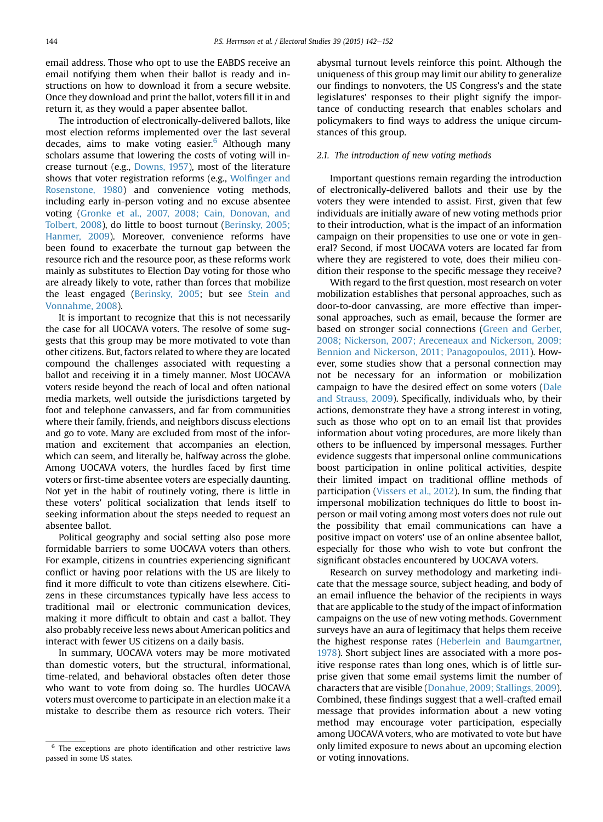email address. Those who opt to use the EABDS receive an email notifying them when their ballot is ready and instructions on how to download it from a secure website. Once they download and print the ballot, voters fill it in and return it, as they would a paper absentee ballot.

The introduction of electronically-delivered ballots, like most election reforms implemented over the last several decades, aims to make voting easier. $6$  Although many scholars assume that lowering the costs of voting will increase turnout (e.g., [Downs, 1957](#page-10-0)), most of the literature shows that voter registration reforms (e.g., Wolfi[nger and](#page-10-0) [Rosenstone, 1980\)](#page-10-0) and convenience voting methods, including early in-person voting and no excuse absentee voting ([Gronke et al., 2007, 2008; Cain, Donovan, and](#page-10-0) [Tolbert, 2008](#page-10-0)), do little to boost turnout ([Berinsky, 2005;](#page-10-0) [Hanmer, 2009\)](#page-10-0). Moreover, convenience reforms have been found to exacerbate the turnout gap between the resource rich and the resource poor, as these reforms work mainly as substitutes to Election Day voting for those who are already likely to vote, rather than forces that mobilize the least engaged ([Berinsky, 2005](#page-10-0); but see [Stein and](#page-10-0) [Vonnahme, 2008\)](#page-10-0).

It is important to recognize that this is not necessarily the case for all UOCAVA voters. The resolve of some suggests that this group may be more motivated to vote than other citizens. But, factors related to where they are located compound the challenges associated with requesting a ballot and receiving it in a timely manner. Most UOCAVA voters reside beyond the reach of local and often national media markets, well outside the jurisdictions targeted by foot and telephone canvassers, and far from communities where their family, friends, and neighbors discuss elections and go to vote. Many are excluded from most of the information and excitement that accompanies an election, which can seem, and literally be, halfway across the globe. Among UOCAVA voters, the hurdles faced by first time voters or first-time absentee voters are especially daunting. Not yet in the habit of routinely voting, there is little in these voters' political socialization that lends itself to seeking information about the steps needed to request an absentee ballot.

Political geography and social setting also pose more formidable barriers to some UOCAVA voters than others. For example, citizens in countries experiencing significant conflict or having poor relations with the US are likely to find it more difficult to vote than citizens elsewhere. Citizens in these circumstances typically have less access to traditional mail or electronic communication devices, making it more difficult to obtain and cast a ballot. They also probably receive less news about American politics and interact with fewer US citizens on a daily basis.

In summary, UOCAVA voters may be more motivated than domestic voters, but the structural, informational, time-related, and behavioral obstacles often deter those who want to vote from doing so. The hurdles UOCAVA voters must overcome to participate in an election make it a mistake to describe them as resource rich voters. Their

abysmal turnout levels reinforce this point. Although the uniqueness of this group may limit our ability to generalize our findings to nonvoters, the US Congress's and the state legislatures' responses to their plight signify the importance of conducting research that enables scholars and policymakers to find ways to address the unique circumstances of this group.

#### 2.1. The introduction of new voting methods

Important questions remain regarding the introduction of electronically-delivered ballots and their use by the voters they were intended to assist. First, given that few individuals are initially aware of new voting methods prior to their introduction, what is the impact of an information campaign on their propensities to use one or vote in general? Second, if most UOCAVA voters are located far from where they are registered to vote, does their milieu condition their response to the specific message they receive?

With regard to the first question, most research on voter mobilization establishes that personal approaches, such as door-to-door canvassing, are more effective than impersonal approaches, such as email, because the former are based on stronger social connections [\(Green and Gerber,](#page-10-0) [2008; Nickerson, 2007; Areceneaux and Nickerson, 2009;](#page-10-0) [Bennion and Nickerson, 2011; Panagopoulos, 2011\)](#page-10-0). However, some studies show that a personal connection may not be necessary for an information or mobilization campaign to have the desired effect on some voters ([Dale](#page-10-0) [and Strauss, 2009\)](#page-10-0). Specifically, individuals who, by their actions, demonstrate they have a strong interest in voting, such as those who opt on to an email list that provides information about voting procedures, are more likely than others to be influenced by impersonal messages. Further evidence suggests that impersonal online communications boost participation in online political activities, despite their limited impact on traditional offline methods of participation [\(Vissers et al., 2012](#page-10-0)). In sum, the finding that impersonal mobilization techniques do little to boost inperson or mail voting among most voters does not rule out the possibility that email communications can have a positive impact on voters' use of an online absentee ballot, especially for those who wish to vote but confront the significant obstacles encountered by UOCAVA voters.

Research on survey methodology and marketing indicate that the message source, subject heading, and body of an email influence the behavior of the recipients in ways that are applicable to the study of the impact of information campaigns on the use of new voting methods. Government surveys have an aura of legitimacy that helps them receive the highest response rates [\(Heberlein and Baumgartner,](#page-10-0) [1978](#page-10-0)). Short subject lines are associated with a more positive response rates than long ones, which is of little surprise given that some email systems limit the number of characters that are visible [\(Donahue, 2009; Stallings, 2009](#page-10-0)). Combined, these findings suggest that a well-crafted email message that provides information about a new voting method may encourage voter participation, especially among UOCAVA voters, who are motivated to vote but have only limited exposure to news about an upcoming election or voting innovations.

<sup>6</sup> The exceptions are photo identification and other restrictive laws passed in some US states.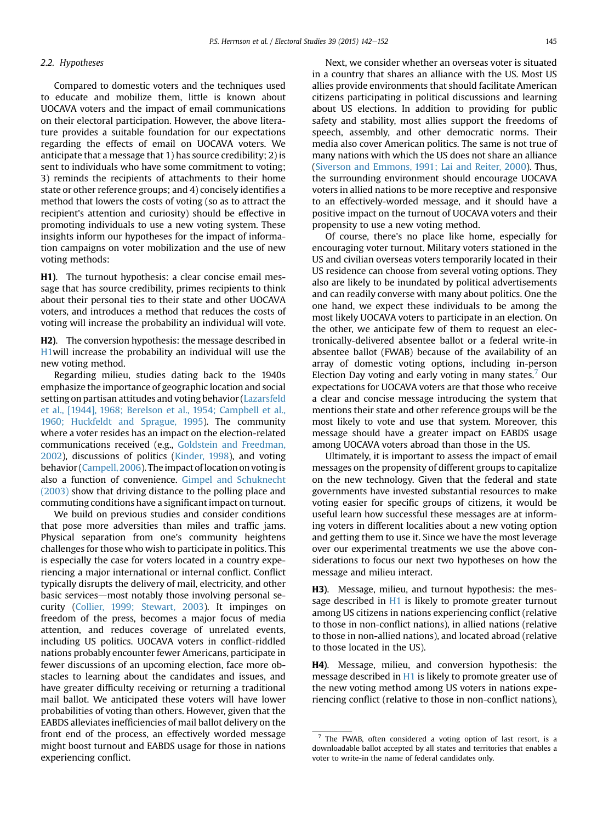# 2.2. Hypotheses

Compared to domestic voters and the techniques used to educate and mobilize them, little is known about UOCAVA voters and the impact of email communications on their electoral participation. However, the above literature provides a suitable foundation for our expectations regarding the effects of email on UOCAVA voters. We anticipate that a message that 1) has source credibility; 2) is sent to individuals who have some commitment to voting; 3) reminds the recipients of attachments to their home state or other reference groups; and 4) concisely identifies a method that lowers the costs of voting (so as to attract the recipient's attention and curiosity) should be effective in promoting individuals to use a new voting system. These insights inform our hypotheses for the impact of information campaigns on voter mobilization and the use of new voting methods:

H1). The turnout hypothesis: a clear concise email message that has source credibility, primes recipients to think about their personal ties to their state and other UOCAVA voters, and introduces a method that reduces the costs of voting will increase the probability an individual will vote.

H2). The conversion hypothesis: the message described in H1will increase the probability an individual will use the new voting method.

Regarding milieu, studies dating back to the 1940s emphasize the importance of geographic location and social setting on partisan attitudes and voting behavior [\(Lazarsfeld](#page-10-0) [et al., \[1944\], 1968; Berelson et al., 1954; Campbell et al.,](#page-10-0) [1960; Huckfeldt and Sprague, 1995\)](#page-10-0). The community where a voter resides has an impact on the election-related communications received (e.g., [Goldstein and Freedman,](#page-10-0) [2002](#page-10-0)), discussions of politics ([Kinder, 1998\)](#page-10-0), and voting behavior [\(Campell, 2006](#page-10-0)). The impact of location on voting is also a function of convenience. [Gimpel and Schuknecht](#page-10-0) [\(2003\)](#page-10-0) show that driving distance to the polling place and commuting conditions have a significant impact on turnout.

We build on previous studies and consider conditions that pose more adversities than miles and traffic jams. Physical separation from one's community heightens challenges for those who wish to participate in politics. This is especially the case for voters located in a country experiencing a major international or internal conflict. Conflict typically disrupts the delivery of mail, electricity, and other basic services—most notably those involving personal security [\(Collier, 1999; Stewart, 2003](#page-10-0)). It impinges on freedom of the press, becomes a major focus of media attention, and reduces coverage of unrelated events, including US politics. UOCAVA voters in conflict-riddled nations probably encounter fewer Americans, participate in fewer discussions of an upcoming election, face more obstacles to learning about the candidates and issues, and have greater difficulty receiving or returning a traditional mail ballot. We anticipated these voters will have lower probabilities of voting than others. However, given that the EABDS alleviates inefficiencies of mail ballot delivery on the front end of the process, an effectively worded message might boost turnout and EABDS usage for those in nations experiencing conflict.

Next, we consider whether an overseas voter is situated in a country that shares an alliance with the US. Most US allies provide environments that should facilitate American citizens participating in political discussions and learning about US elections. In addition to providing for public safety and stability, most allies support the freedoms of speech, assembly, and other democratic norms. Their media also cover American politics. The same is not true of many nations with which the US does not share an alliance ([Siverson and Emmons, 1991; Lai and Reiter, 2000](#page-10-0)). Thus, the surrounding environment should encourage UOCAVA voters in allied nations to be more receptive and responsive to an effectively-worded message, and it should have a positive impact on the turnout of UOCAVA voters and their propensity to use a new voting method.

Of course, there's no place like home, especially for encouraging voter turnout. Military voters stationed in the US and civilian overseas voters temporarily located in their US residence can choose from several voting options. They also are likely to be inundated by political advertisements and can readily converse with many about politics. One the one hand, we expect these individuals to be among the most likely UOCAVA voters to participate in an election. On the other, we anticipate few of them to request an electronically-delivered absentee ballot or a federal write-in absentee ballot (FWAB) because of the availability of an array of domestic voting options, including in-person Election Day voting and early voting in many states.<sup>7</sup> Our expectations for UOCAVA voters are that those who receive a clear and concise message introducing the system that mentions their state and other reference groups will be the most likely to vote and use that system. Moreover, this message should have a greater impact on EABDS usage among UOCAVA voters abroad than those in the US.

Ultimately, it is important to assess the impact of email messages on the propensity of different groups to capitalize on the new technology. Given that the federal and state governments have invested substantial resources to make voting easier for specific groups of citizens, it would be useful learn how successful these messages are at informing voters in different localities about a new voting option and getting them to use it. Since we have the most leverage over our experimental treatments we use the above considerations to focus our next two hypotheses on how the message and milieu interact.

H3). Message, milieu, and turnout hypothesis: the message described in  $H1$  is likely to promote greater turnout among US citizens in nations experiencing conflict (relative to those in non-conflict nations), in allied nations (relative to those in non-allied nations), and located abroad (relative to those located in the US).

H4). Message, milieu, and conversion hypothesis: the message described in H1 is likely to promote greater use of the new voting method among US voters in nations experiencing conflict (relative to those in non-conflict nations),

<sup>7</sup> The FWAB, often considered a voting option of last resort, is a downloadable ballot accepted by all states and territories that enables a voter to write-in the name of federal candidates only.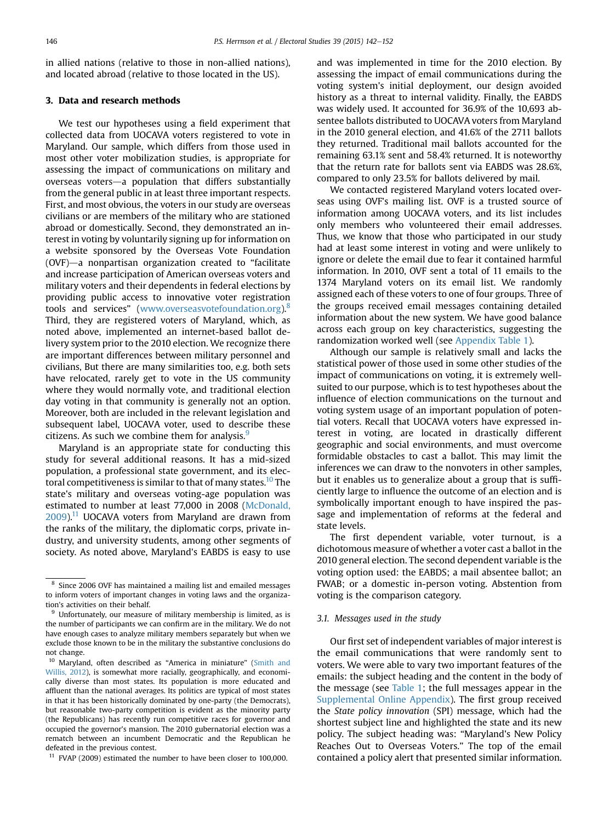in allied nations (relative to those in non-allied nations), and located abroad (relative to those located in the US).

#### 3. Data and research methods

We test our hypotheses using a field experiment that collected data from UOCAVA voters registered to vote in Maryland. Our sample, which differs from those used in most other voter mobilization studies, is appropriate for assessing the impact of communications on military and overseas voters-a population that differs substantially from the general public in at least three important respects. First, and most obvious, the voters in our study are overseas civilians or are members of the military who are stationed abroad or domestically. Second, they demonstrated an interest in voting by voluntarily signing up for information on a website sponsored by the Overseas Vote Foundation  $(OVF)$ —a nonpartisan organization created to "facilitate and increase participation of American overseas voters and military voters and their dependents in federal elections by providing public access to innovative voter registration tools and services" ([www.overseasvotefoundation.org\)](http://www.overseasvotefoundation.org).<sup>8</sup> Third, they are registered voters of Maryland, which, as noted above, implemented an internet-based ballot delivery system prior to the 2010 election. We recognize there are important differences between military personnel and civilians, But there are many similarities too, e.g. both sets have relocated, rarely get to vote in the US community where they would normally vote, and traditional election day voting in that community is generally not an option. Moreover, both are included in the relevant legislation and subsequent label, UOCAVA voter, used to describe these citizens. As such we combine them for analysis.<sup>9</sup>

Maryland is an appropriate state for conducting this study for several additional reasons. It has a mid-sized population, a professional state government, and its electoral competitiveness is similar to that of many states.<sup>10</sup> The state's military and overseas voting-age population was estimated to number at least 77,000 in 2008 ([McDonald,](#page-10-0)  $2009$ <sup>11</sup> UOCAVA voters from Maryland are drawn from the ranks of the military, the diplomatic corps, private industry, and university students, among other segments of society. As noted above, Maryland's EABDS is easy to use

and was implemented in time for the 2010 election. By assessing the impact of email communications during the voting system's initial deployment, our design avoided history as a threat to internal validity. Finally, the EABDS was widely used. It accounted for 36.9% of the 10,693 absentee ballots distributed to UOCAVA voters from Maryland in the 2010 general election, and 41.6% of the 2711 ballots they returned. Traditional mail ballots accounted for the remaining 63.1% sent and 58.4% returned. It is noteworthy that the return rate for ballots sent via EABDS was 28.6%, compared to only 23.5% for ballots delivered by mail.

We contacted registered Maryland voters located overseas using OVF's mailing list. OVF is a trusted source of information among UOCAVA voters, and its list includes only members who volunteered their email addresses. Thus, we know that those who participated in our study had at least some interest in voting and were unlikely to ignore or delete the email due to fear it contained harmful information. In 2010, OVF sent a total of 11 emails to the 1374 Maryland voters on its email list. We randomly assigned each of these voters to one of four groups. Three of the groups received email messages containing detailed information about the new system. We have good balance across each group on key characteristics, suggesting the randomization worked well (see [Appendix Table 1](#page-9-0)).

Although our sample is relatively small and lacks the statistical power of those used in some other studies of the impact of communications on voting, it is extremely wellsuited to our purpose, which is to test hypotheses about the influence of election communications on the turnout and voting system usage of an important population of potential voters. Recall that UOCAVA voters have expressed interest in voting, are located in drastically different geographic and social environments, and must overcome formidable obstacles to cast a ballot. This may limit the inferences we can draw to the nonvoters in other samples, but it enables us to generalize about a group that is sufficiently large to influence the outcome of an election and is symbolically important enough to have inspired the passage and implementation of reforms at the federal and state levels.

The first dependent variable, voter turnout, is a dichotomous measure of whether a voter cast a ballot in the 2010 general election. The second dependent variable is the voting option used: the EABDS; a mail absentee ballot; an FWAB; or a domestic in-person voting. Abstention from voting is the comparison category.

### 3.1. Messages used in the study

Our first set of independent variables of major interest is the email communications that were randomly sent to voters. We were able to vary two important features of the emails: the subject heading and the content in the body of the message (see [Table 1;](#page-5-0) the full messages appear in the Supplemental Online Appendix). The first group received the State policy innovation (SPI) message, which had the shortest subject line and highlighted the state and its new policy. The subject heading was: "Maryland's New Policy Reaches Out to Overseas Voters." The top of the email contained a policy alert that presented similar information.

<sup>8</sup> Since 2006 OVF has maintained a mailing list and emailed messages to inform voters of important changes in voting laws and the organization's activities on their behalf.

 $9$  Unfortunately, our measure of military membership is limited, as is the number of participants we can confirm are in the military. We do not have enough cases to analyze military members separately but when we exclude those known to be in the military the substantive conclusions do not change.

<sup>10</sup> Maryland, often described as "America in miniature" [\(Smith and](#page-10-0) [Willis, 2012\)](#page-10-0), is somewhat more racially, geographically, and economically diverse than most states. Its population is more educated and affluent than the national averages. Its politics are typical of most states in that it has been historically dominated by one-party (the Democrats), but reasonable two-party competition is evident as the minority party (the Republicans) has recently run competitive races for governor and occupied the governor's mansion. The 2010 gubernatorial election was a rematch between an incumbent Democratic and the Republican he defeated in the previous contest.

<sup>&</sup>lt;sup>11</sup> FVAP (2009) estimated the number to have been closer to 100,000.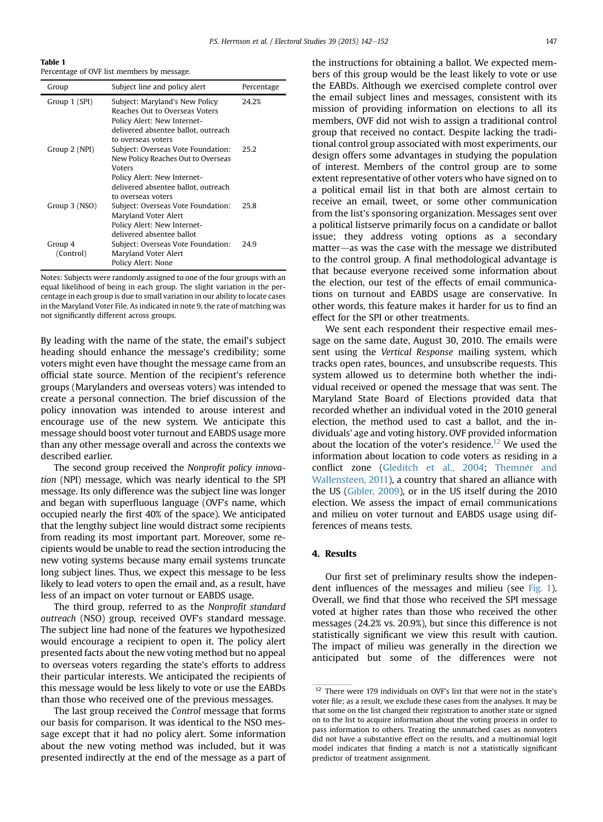<span id="page-5-0"></span>Table 1 Percentage of OVF list members by message.

| Group                | Subject line and policy alert                                                                                                                                                         | Percentage |
|----------------------|---------------------------------------------------------------------------------------------------------------------------------------------------------------------------------------|------------|
| Group 1 (SPI)        | Subject: Maryland's New Policy<br>Reaches Out to Overseas Voters<br>Policy Alert: New Internet-<br>delivered absentee ballot, outreach<br>to overseas voters                          | 24.2%      |
| Group 2 (NPI)        | Subject: Overseas Vote Foundation:<br>New Policy Reaches Out to Overseas<br><b>Voters</b><br>Policy Alert: New Internet-<br>delivered absentee ballot, outreach<br>to overseas voters | 25.2       |
| Group 3 (NSO)        | Subject: Overseas Vote Foundation:<br>Maryland Voter Alert<br>Policy Alert: New Internet-<br>delivered absentee ballot                                                                | 25.8       |
| Group 4<br>(Control) | Subject: Overseas Vote Foundation:<br>Maryland Voter Alert<br>Policy Alert: None                                                                                                      | 24.9       |

Notes: Subjects were randomly assigned to one of the four groups with an equal likelihood of being in each group. The slight variation in the percentage in each group is due to small variation in our ability to locate cases in the Maryland Voter File. As indicated in note 9, the rate of matching was not significantly different across groups.

By leading with the name of the state, the email's subject heading should enhance the message's credibility; some voters might even have thought the message came from an official state source. Mention of the recipient's reference groups (Marylanders and overseas voters) was intended to create a personal connection. The brief discussion of the policy innovation was intended to arouse interest and encourage use of the new system. We anticipate this message should boost voter turnout and EABDS usage more than any other message overall and across the contexts we described earlier.

The second group received the Nonprofit policy innovation (NPI) message, which was nearly identical to the SPI message. Its only difference was the subject line was longer and began with superfluous language (OVF's name, which occupied nearly the first 40% of the space). We anticipated that the lengthy subject line would distract some recipients from reading its most important part. Moreover, some recipients would be unable to read the section introducing the new voting systems because many email systems truncate long subject lines. Thus, we expect this message to be less likely to lead voters to open the email and, as a result, have less of an impact on voter turnout or EABDS usage.

The third group, referred to as the Nonprofit standard outreach (NSO) group, received OVF's standard message. The subject line had none of the features we hypothesized would encourage a recipient to open it. The policy alert presented facts about the new voting method but no appeal to overseas voters regarding the state's efforts to address their particular interests. We anticipated the recipients of this message would be less likely to vote or use the EABDs than those who received one of the previous messages.

The last group received the Control message that forms our basis for comparison. It was identical to the NSO message except that it had no policy alert. Some information about the new voting method was included, but it was presented indirectly at the end of the message as a part of the instructions for obtaining a ballot. We expected members of this group would be the least likely to vote or use the EABDs. Although we exercised complete control over the email subject lines and messages, consistent with its mission of providing information on elections to all its members, OVF did not wish to assign a traditional control group that received no contact. Despite lacking the traditional control group associated with most experiments, our design offers some advantages in studying the population of interest. Members of the control group are to some extent representative of other voters who have signed on to a political email list in that both are almost certain to receive an email, tweet, or some other communication from the list's sponsoring organization. Messages sent over a political listserve primarily focus on a candidate or ballot issue; they address voting options as a secondary matter—as was the case with the message we distributed to the control group. A final methodological advantage is that because everyone received some information about the election, our test of the effects of email communications on turnout and EABDS usage are conservative. In other words, this feature makes it harder for us to find an effect for the SPI or other treatments.

We sent each respondent their respective email message on the same date, August 30, 2010. The emails were sent using the Vertical Response mailing system, which tracks open rates, bounces, and unsubscribe requests. This system allowed us to determine both whether the individual received or opened the message that was sent. The Maryland State Board of Elections provided data that recorded whether an individual voted in the 2010 general election, the method used to cast a ballot, and the individuals' age and voting history. OVF provided information about the location of the voter's residence.<sup>12</sup> We used the information about location to code voters as residing in a conflict zone ([Gleditch et al., 2004](#page-10-0); Themnér and [Wallensteen, 2011\)](#page-10-0), a country that shared an alliance with the US ([Gibler, 2009\)](#page-10-0), or in the US itself during the 2010 election. We assess the impact of email communications and milieu on voter turnout and EABDS usage using differences of means tests.

### 4. Results

Our first set of preliminary results show the independent influences of the messages and milieu (see [Fig. 1](#page-6-0)). Overall, we find that those who received the SPI message voted at higher rates than those who received the other messages (24.2% vs. 20.9%), but since this difference is not statistically significant we view this result with caution. The impact of milieu was generally in the direction we anticipated but some of the differences were not

<sup>&</sup>lt;sup>12</sup> There were 179 individuals on OVF's list that were not in the state's voter file; as a result, we exclude these cases from the analyses. It may be that some on the list changed their registration to another state or signed on to the list to acquire information about the voting process in order to pass information to others. Treating the unmatched cases as nonvoters did not have a substantive effect on the results, and a multinomial logit model indicates that finding a match is not a statistically significant predictor of treatment assignment.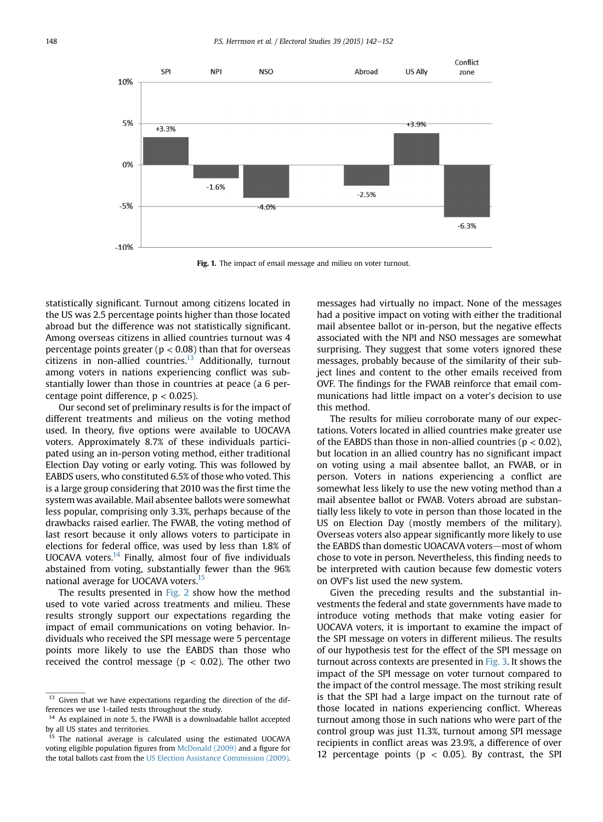<span id="page-6-0"></span>

Fig. 1. The impact of email message and milieu on voter turnout.

statistically significant. Turnout among citizens located in the US was 2.5 percentage points higher than those located abroad but the difference was not statistically significant. Among overseas citizens in allied countries turnout was 4 percentage points greater ( $p < 0.08$ ) than that for overseas  $citizens$  in non-allied countries.<sup>13</sup> Additionally, turnout among voters in nations experiencing conflict was substantially lower than those in countries at peace (a 6 percentage point difference,  $p < 0.025$ ).

Our second set of preliminary results is for the impact of different treatments and milieus on the voting method used. In theory, five options were available to UOCAVA voters. Approximately 8.7% of these individuals participated using an in-person voting method, either traditional Election Day voting or early voting. This was followed by EABDS users, who constituted 6.5% of those who voted. This is a large group considering that 2010 was the first time the system was available. Mail absentee ballots were somewhat less popular, comprising only 3.3%, perhaps because of the drawbacks raised earlier. The FWAB, the voting method of last resort because it only allows voters to participate in elections for federal office, was used by less than 1.8% of UOCAVA voters. $14$  Finally, almost four of five individuals abstained from voting, substantially fewer than the 96% national average for UOCAVA voters.<sup>15</sup>

The results presented in [Fig. 2](#page-7-0) show how the method used to vote varied across treatments and milieu. These results strongly support our expectations regarding the impact of email communications on voting behavior. Individuals who received the SPI message were 5 percentage points more likely to use the EABDS than those who received the control message ( $p < 0.02$ ). The other two

messages had virtually no impact. None of the messages had a positive impact on voting with either the traditional mail absentee ballot or in-person, but the negative effects associated with the NPI and NSO messages are somewhat surprising. They suggest that some voters ignored these messages, probably because of the similarity of their subject lines and content to the other emails received from OVF. The findings for the FWAB reinforce that email communications had little impact on a voter's decision to use this method.

The results for milieu corroborate many of our expectations. Voters located in allied countries make greater use of the EABDS than those in non-allied countries ( $p < 0.02$ ), but location in an allied country has no significant impact on voting using a mail absentee ballot, an FWAB, or in person. Voters in nations experiencing a conflict are somewhat less likely to use the new voting method than a mail absentee ballot or FWAB. Voters abroad are substantially less likely to vote in person than those located in the US on Election Day (mostly members of the military). Overseas voters also appear significantly more likely to use the EABDS than domestic UOACAVA voters-most of whom chose to vote in person. Nevertheless, this finding needs to be interpreted with caution because few domestic voters on OVF's list used the new system.

Given the preceding results and the substantial investments the federal and state governments have made to introduce voting methods that make voting easier for UOCAVA voters, it is important to examine the impact of the SPI message on voters in different milieus. The results of our hypothesis test for the effect of the SPI message on turnout across contexts are presented in [Fig. 3](#page-7-0). It shows the impact of the SPI message on voter turnout compared to the impact of the control message. The most striking result is that the SPI had a large impact on the turnout rate of those located in nations experiencing conflict. Whereas turnout among those in such nations who were part of the control group was just 11.3%, turnout among SPI message recipients in conflict areas was 23.9%, a difference of over 12 percentage points ( $p < 0.05$ ). By contrast, the SPI

<sup>&</sup>lt;sup>13</sup> Given that we have expectations regarding the direction of the differences we use 1-tailed tests throughout the study.

As explained in note 5, the FWAB is a downloadable ballot accepted by all US states and territories.

The national average is calculated using the estimated UOCAVA voting eligible population figures from [McDonald \(2009\)](#page-10-0) and a figure for the total ballots cast from the [US Election Assistance Commission \(2009\).](#page-10-0)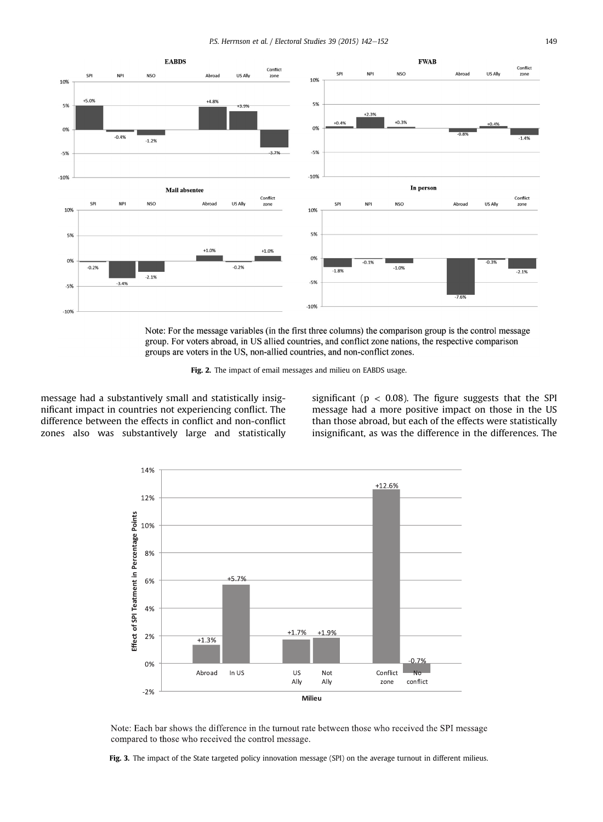<span id="page-7-0"></span>

Note: For the message variables (in the first three columns) the comparison group is the control message group. For voters abroad, in US allied countries, and conflict zone nations, the respective comparison groups are voters in the US, non-allied countries, and non-conflict zones.

Fig. 2. The impact of email messages and milieu on EABDS usage.

message had a substantively small and statistically insignificant impact in countries not experiencing conflict. The difference between the effects in conflict and non-conflict zones also was substantively large and statistically

significant ( $p < 0.08$ ). The figure suggests that the SPI message had a more positive impact on those in the US than those abroad, but each of the effects were statistically insignificant, as was the difference in the differences. The



Note: Each bar shows the difference in the turnout rate between those who received the SPI message compared to those who received the control message.

Fig. 3. The impact of the State targeted policy innovation message (SPI) on the average turnout in different milieus.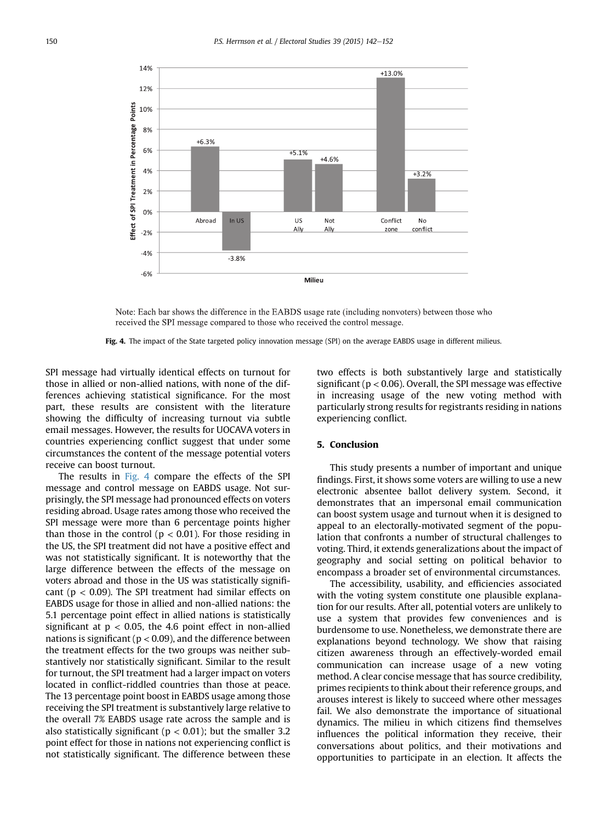

Note: Each bar shows the difference in the EABDS usage rate (including nonvoters) between those who received the SPI message compared to those who received the control message.

Fig. 4. The impact of the State targeted policy innovation message (SPI) on the average EABDS usage in different milieus.

SPI message had virtually identical effects on turnout for those in allied or non-allied nations, with none of the differences achieving statistical significance. For the most part, these results are consistent with the literature showing the difficulty of increasing turnout via subtle email messages. However, the results for UOCAVA voters in countries experiencing conflict suggest that under some circumstances the content of the message potential voters receive can boost turnout.

The results in Fig. 4 compare the effects of the SPI message and control message on EABDS usage. Not surprisingly, the SPI message had pronounced effects on voters residing abroad. Usage rates among those who received the SPI message were more than 6 percentage points higher than those in the control ( $p < 0.01$ ). For those residing in the US, the SPI treatment did not have a positive effect and was not statistically significant. It is noteworthy that the large difference between the effects of the message on voters abroad and those in the US was statistically significant ( $p < 0.09$ ). The SPI treatment had similar effects on EABDS usage for those in allied and non-allied nations: the 5.1 percentage point effect in allied nations is statistically significant at  $p < 0.05$ , the 4.6 point effect in non-allied nations is significant ( $p < 0.09$ ), and the difference between the treatment effects for the two groups was neither substantively nor statistically significant. Similar to the result for turnout, the SPI treatment had a larger impact on voters located in conflict-riddled countries than those at peace. The 13 percentage point boost in EABDS usage among those receiving the SPI treatment is substantively large relative to the overall 7% EABDS usage rate across the sample and is also statistically significant ( $p < 0.01$ ); but the smaller 3.2 point effect for those in nations not experiencing conflict is not statistically significant. The difference between these two effects is both substantively large and statistically significant ( $p < 0.06$ ). Overall, the SPI message was effective in increasing usage of the new voting method with particularly strong results for registrants residing in nations experiencing conflict.

# 5. Conclusion

This study presents a number of important and unique findings. First, it shows some voters are willing to use a new electronic absentee ballot delivery system. Second, it demonstrates that an impersonal email communication can boost system usage and turnout when it is designed to appeal to an electorally-motivated segment of the population that confronts a number of structural challenges to voting. Third, it extends generalizations about the impact of geography and social setting on political behavior to encompass a broader set of environmental circumstances.

The accessibility, usability, and efficiencies associated with the voting system constitute one plausible explanation for our results. After all, potential voters are unlikely to use a system that provides few conveniences and is burdensome to use. Nonetheless, we demonstrate there are explanations beyond technology. We show that raising citizen awareness through an effectively-worded email communication can increase usage of a new voting method. A clear concise message that has source credibility, primes recipients to think about their reference groups, and arouses interest is likely to succeed where other messages fail. We also demonstrate the importance of situational dynamics. The milieu in which citizens find themselves influences the political information they receive, their conversations about politics, and their motivations and opportunities to participate in an election. It affects the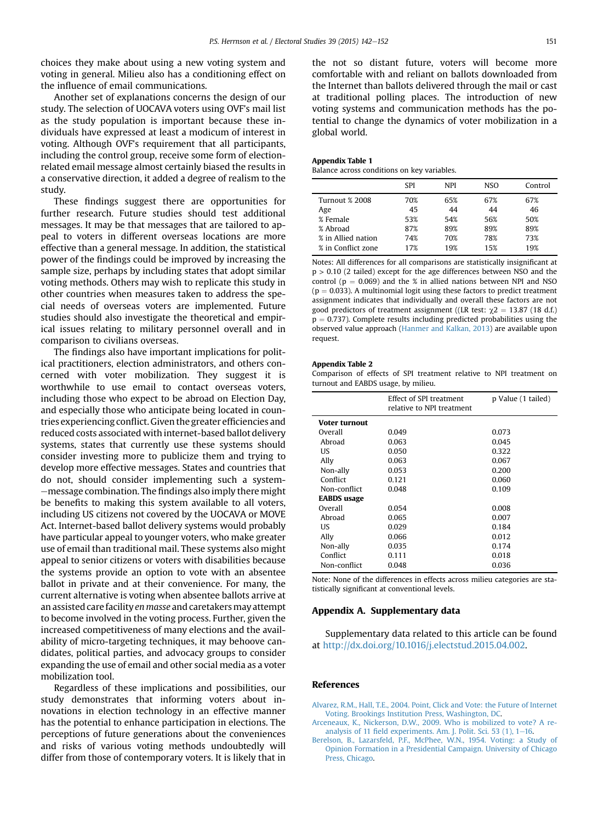<span id="page-9-0"></span>choices they make about using a new voting system and voting in general. Milieu also has a conditioning effect on the influence of email communications.

Another set of explanations concerns the design of our study. The selection of UOCAVA voters using OVF's mail list as the study population is important because these individuals have expressed at least a modicum of interest in voting. Although OVF's requirement that all participants, including the control group, receive some form of electionrelated email message almost certainly biased the results in a conservative direction, it added a degree of realism to the study.

These findings suggest there are opportunities for further research. Future studies should test additional messages. It may be that messages that are tailored to appeal to voters in different overseas locations are more effective than a general message. In addition, the statistical power of the findings could be improved by increasing the sample size, perhaps by including states that adopt similar voting methods. Others may wish to replicate this study in other countries when measures taken to address the special needs of overseas voters are implemented. Future studies should also investigate the theoretical and empirical issues relating to military personnel overall and in comparison to civilians overseas.

The findings also have important implications for political practitioners, election administrators, and others concerned with voter mobilization. They suggest it is worthwhile to use email to contact overseas voters, including those who expect to be abroad on Election Day, and especially those who anticipate being located in countries experiencing conflict. Given the greater efficiencies and reduced costs associated with internet-based ballot delivery systems, states that currently use these systems should consider investing more to publicize them and trying to develop more effective messages. States and countries that do not, should consider implementing such a system- $-$ message combination. The findings also imply there might be benefits to making this system available to all voters, including US citizens not covered by the UOCAVA or MOVE Act. Internet-based ballot delivery systems would probably have particular appeal to younger voters, who make greater use of email than traditional mail. These systems also might appeal to senior citizens or voters with disabilities because the systems provide an option to vote with an absentee ballot in private and at their convenience. For many, the current alternative is voting when absentee ballots arrive at an assisted care facility en masse and caretakers may attempt to become involved in the voting process. Further, given the increased competitiveness of many elections and the availability of micro-targeting techniques, it may behoove candidates, political parties, and advocacy groups to consider expanding the use of email and other social media as a voter mobilization tool.

Regardless of these implications and possibilities, our study demonstrates that informing voters about innovations in election technology in an effective manner has the potential to enhance participation in elections. The perceptions of future generations about the conveniences and risks of various voting methods undoubtedly will differ from those of contemporary voters. It is likely that in the not so distant future, voters will become more comfortable with and reliant on ballots downloaded from the Internet than ballots delivered through the mail or cast at traditional polling places. The introduction of new voting systems and communication methods has the potential to change the dynamics of voter mobilization in a global world.

#### Appendix Table 1

Balance across conditions on key variables.

|                       | SPI | <b>NPI</b> | NSO. | Control |
|-----------------------|-----|------------|------|---------|
| <b>Turnout % 2008</b> | 70% | 65%        | 67%  | 67%     |
| Age                   | 45  | 44         | 44   | 46      |
| % Female              | 53% | 54%        | 56%  | 50%     |
| % Abroad              | 87% | 89%        | 89%  | 89%     |
| % in Allied nation    | 74% | 70%        | 78%  | 73%     |
| % in Conflict zone    | 17% | 19%        | 15%  | 19%     |

Notes: All differences for all comparisons are statistically insignificant at  $p > 0.10$  (2 tailed) except for the age differences between NSO and the control ( $p = 0.069$ ) and the % in allied nations between NPI and NSO  $(p = 0.033)$ . A multinomial logit using these factors to predict treatment assignment indicates that individually and overall these factors are not good predictors of treatment assignment ((LR test:  $\chi$ 2 = 13.87 (18 d.f.)  $p = 0.737$ ). Complete results including predicted probabilities using the observed value approach ([Hanmer and Kalkan, 2013](#page-10-0)) are available upon request.

#### Appendix Table 2

Comparison of effects of SPI treatment relative to NPI treatment on turnout and EABDS usage, by milieu.

|                    | Effect of SPI treatment<br>relative to NPI treatment | p Value (1 tailed) |
|--------------------|------------------------------------------------------|--------------------|
| Voter turnout      |                                                      |                    |
| Overall            | 0.049                                                | 0.073              |
| Abroad             | 0.063                                                | 0.045              |
| US                 | 0.050                                                | 0.322              |
| Ally               | 0.063                                                | 0.067              |
| Non-ally           | 0.053                                                | 0.200              |
| Conflict           | 0.121                                                | 0.060              |
| Non-conflict       | 0.048                                                | 0.109              |
| <b>EABDS</b> usage |                                                      |                    |
| Overall            | 0.054                                                | 0.008              |
| Abroad             | 0.065                                                | 0.007              |
| US                 | 0.029                                                | 0.184              |
| Ally               | 0.066                                                | 0.012              |
| Non-ally           | 0.035                                                | 0.174              |
| Conflict           | 0.111                                                | 0.018              |
| Non-conflict       | 0.048                                                | 0.036              |

Note: None of the differences in effects across milieu categories are statistically significant at conventional levels.

#### Appendix A. Supplementary data

Supplementary data related to this article can be found at <http://dx.doi.org/10.1016/j.electstud.2015.04.002>.

#### References

- [Alvarez, R.M., Hall, T.E., 2004. Point, Click and Vote: the Future of Internet](http://refhub.elsevier.com/S0261-3794(15)00097-9/sref1) [Voting. Brookings Institution Press, Washington, DC.](http://refhub.elsevier.com/S0261-3794(15)00097-9/sref1)
- [Arceneaux, K., Nickerson, D.W., 2009. Who is mobilized to vote? A re](http://refhub.elsevier.com/S0261-3794(15)00097-9/sref2)analysis of 11 field experiments. Am. J. Polit. Sci. 53  $(1)$ ,  $1-16$ .
- [Berelson, B., Lazarsfeld, P.F., McPhee, W.N., 1954. Voting: a Study of](http://refhub.elsevier.com/S0261-3794(15)00097-9/sref3) [Opinion Formation in a Presidential Campaign. University of Chicago](http://refhub.elsevier.com/S0261-3794(15)00097-9/sref3) [Press, Chicago.](http://refhub.elsevier.com/S0261-3794(15)00097-9/sref3)